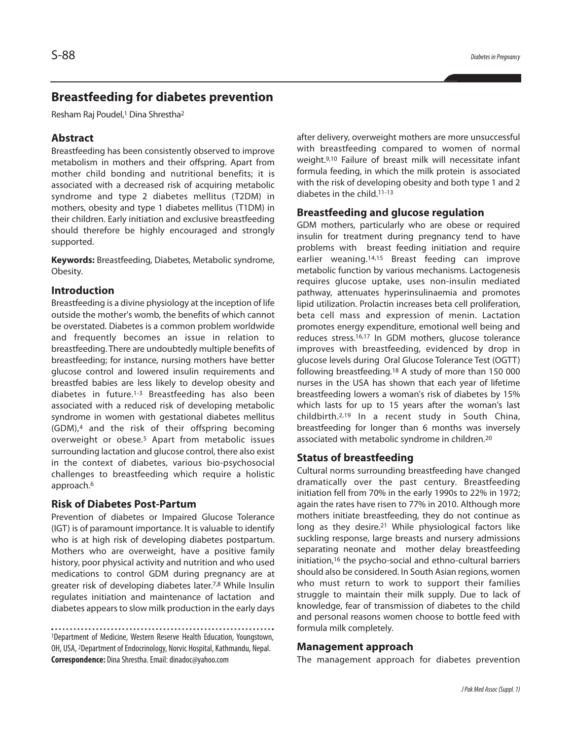# **Breastfeeding for diabetes prevention**

Resham Raj Poudel, <sup>1</sup> Dina Shrestha2

### **Abstract**

Breastfeeding has been consistently observed to improve metabolism in mothers and their offspring. Apart from mother child bonding and nutritional benefits; it is associated with a decreased risk of acquiring metabolic syndrome and type 2 diabetes mellitus (T2DM) in mothers, obesity and type 1 diabetes mellitus (T1DM) in their children. Early initiation and exclusive breastfeeding should therefore be highly encouraged and strongly supported.

**Keywords:** Breastfeeding, Diabetes, Metabolic syndrome, Obesity.

### **Introduction**

Breastfeeding is a divine physiology at the inception of life outside the mother's womb, the benefits of which cannot be overstated. Diabetes is a common problem worldwide and frequently becomes an issue in relation to breastfeeding. There are undoubtedly multiple benefits of breastfeeding; for instance, nursing mothers have better glucose control and lowered insulin requirements and breastfed babies are less likely to develop obesity and diabetes in future. 1-3 Breastfeeding has also been associated with a reduced risk of developing metabolic syndrome in women with gestational diabetes mellitus (GDM), <sup>4</sup> and the risk of their offspring becoming overweight or obese. <sup>5</sup> Apart from metabolic issues surrounding lactation and glucose control, there also exist in the context of diabetes, various bio-psychosocial challenges to breastfeeding which require a holistic approach. 6

### **Risk of Diabetes Post-Partum**

Prevention of diabetes or Impaired Glucose Tolerance (IGT) is of paramount importance. It is valuable to identify who is at high risk of developing diabetes postpartum. Mothers who are overweight, have a positive family history, poor physical activity and nutrition and who used medications to control GDM during pregnancy are at greater risk of developing diabetes later. 7,8 While Insulin regulates initiation and maintenance of lactation and diabetes appears to slow milk production in the early days

1Department of Medicine, Western Reserve Health Education, Youngstown, OH, USA, <sup>2</sup>Department of Endocrinology, Norvic Hospital, Kathmandu, Nepal. **Correspondence:** DinaShrestha.Email:dinadoc@yahoo.com

after delivery, overweight mothers are more unsuccessful with breastfeeding compared to women of normal weight. 9,10 Failure of breast milk will necessitate infant formula feeding, in which the milk protein is associated with the risk of developing obesity and both type 1 and 2 diabetes in the child. 11-13

#### **Breastfeeding and glucose regulation**

GDM mothers, particularly who are obese or required insulin for treatment during pregnancy tend to have problems with breast feeding initiation and require earlier weaning. 14,15 Breast feeding can improve metabolic function by various mechanisms. Lactogenesis requires glucose uptake, uses non-insulin mediated pathway, attenuates hyperinsulinaemia and promotes lipid utilization. Prolactin increases beta cell proliferation, beta cell mass and expression of menin. Lactation promotes energy expenditure, emotional well being and reduces stress. 16,17 In GDM mothers, glucose tolerance improves with breastfeeding, evidenced by drop in glucose levels during Oral Glucose Tolerance Test (OGTT) following breastfeeding. <sup>18</sup> A study of more than 150 000 nurses in the USA has shown that each year of lifetime breastfeeding lowers a woman's risk of diabetes by 15% which lasts for up to 15 years after the woman's last childbirth. 2,19 In a recent study in South China, breastfeeding for longer than 6 months was inversely associated with metabolic syndrome in children. 20

## **Status of breastfeeding**

Cultural norms surrounding breastfeeding have changed dramatically over the past century. Breastfeeding initiation fell from 70% in the early 1990s to 22% in 1972; again the rates have risen to 77% in 2010. Although more mothers initiate breastfeeding, they do not continue as long as they desire. <sup>21</sup> While physiological factors like suckling response, large breasts and nursery admissions separating neonate and mother delay breastfeeding initiation, <sup>16</sup> the psycho-social and ethno-cultural barriers should also be considered. In South Asian regions, women who must return to work to support their families struggle to maintain their milk supply. Due to lack of knowledge, fear of transmission of diabetes to the child and personal reasons women choose to bottle feed with formula milk completely.

#### **Management approach**

The management approach for diabetes prevention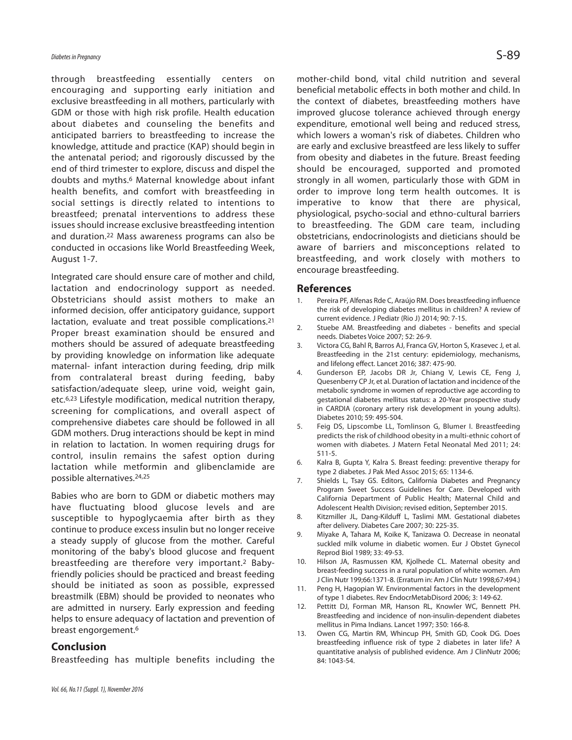through breastfeeding essentially centers on encouraging and supporting early initiation and exclusive breastfeeding in all mothers, particularly with GDM or those with high risk profile. Health education about diabetes and counseling the benefits and anticipated barriers to breastfeeding to increase the knowledge, attitude and practice (KAP) should begin in the antenatal period; and rigorously discussed by the end of third trimester to explore, discuss and dispel the doubts and myths. <sup>6</sup> Maternal knowledge about infant health benefits, and comfort with breastfeeding in social settings is directly related to intentions to breastfeed; prenatal interventions to address these issues should increase exclusive breastfeeding intention and duration. <sup>22</sup> Mass awareness programs can also be conducted in occasions like World Breastfeeding Week, August 1-7.

Integrated care should ensure care of mother and child, lactation and endocrinology support as needed. Obstetricians should assist mothers to make an informed decision, offer anticipatory guidance, support lactation, evaluate and treat possible complications. 21 Proper breast examination should be ensured and mothers should be assured of adequate breastfeeding by providing knowledge on information like adequate maternal- infant interaction during feeding, drip milk from contralateral breast during feeding, baby satisfaction/adequate sleep, urine void, weight gain, etc. 6,23 Lifestyle modification, medical nutrition therapy, screening for complications, and overall aspect of comprehensive diabetes care should be followed in all GDM mothers. Drug interactions should be kept in mind in relation to lactation. In women requiring drugs for control, insulin remains the safest option during lactation while metformin and glibenclamide are possible alternatives. 24,25

Babies who are born to GDM or diabetic mothers may have fluctuating blood glucose levels and are susceptible to hypoglycaemia after birth as they continue to produce excess insulin but no longer receive a steady supply of glucose from the mother. Careful monitoring of the baby's blood glucose and frequent breastfeeding are therefore very important.2 Babyfriendly policies should be practiced and breast feeding should be initiated as soon as possible, expressed breastmilk (EBM) should be provided to neonates who are admitted in nursery. Early expression and feeding helps to ensure adequacy of lactation and prevention of breast engorgement. 6

### **Conclusion**

Breastfeeding has multiple benefits including the

*Vol.66, No.11(Suppl.1), November2016*

mother-child bond, vital child nutrition and several beneficial metabolic effects in both mother and child. In the context of diabetes, breastfeeding mothers have improved glucose tolerance achieved through energy expenditure, emotional well being and reduced stress, which lowers a woman's risk of diabetes. Children who are early and exclusive breastfeed are less likely to suffer from obesity and diabetes in the future. Breast feeding should be encouraged, supported and promoted strongly in all women, particularly those with GDM in order to improve long term health outcomes. It is imperative to know that there are physical, physiological, psycho-social and ethno-cultural barriers to breastfeeding. The GDM care team, including obstetricians, endocrinologists and dieticians should be aware of barriers and misconceptions related to breastfeeding, and work closely with mothers to encourage breastfeeding.

#### **References**

- 1. Pereira PF, Alfenas Rde C, Araújo RM. Does breastfeeding influence the risk of developing diabetes mellitus in children? A review of current evidence. J Pediatr (Rio J) 2014; 90: 7-15.
- 2. Stuebe AM. Breastfeeding and diabetes benefits and special needs. Diabetes Voice 2007; 52: 26-9.
- 3. Victora CG, Bahl R, Barros AJ, Franca GV, Horton S, Krasevec J, et al. Breastfeeding in the 21st century: epidemiology, mechanisms, and lifelong effect. Lancet 2016; 387: 475-90.
- 4. Gunderson EP, Jacobs DR Jr, Chiang V, Lewis CE, Feng J, Quesenberry CP Jr, et al. Duration of lactation and incidence of the metabolic syndrome in women of reproductive age according to gestational diabetes mellitus status: a 20-Year prospective study in CARDIA (coronary artery risk development in young adults). Diabetes 2010; 59: 495-504.
- 5. Feig DS, Lipscombe LL, Tomlinson G, Blumer I. Breastfeeding predicts the risk of childhood obesity in a multi-ethnic cohort of women with diabetes. J Matern Fetal Neonatal Med 2011; 24: 511-5.
- 6. Kalra B, Gupta Y, Kalra S. Breast feeding: preventive therapy for type 2 diabetes. J Pak Med Assoc 2015; 65: 1134-6.
- 7. Shields L, Tsay GS. Editors, California Diabetes and Pregnancy Program Sweet Success Guidelines for Care. Developed with California Department of Public Health; Maternal Child and Adolescent Health Division; revised edition, September 2015.
- 8. Kitzmiller JL, Dang-Kilduff L, Taslimi MM. Gestational diabetes after delivery. Diabetes Care 2007; 30: 225-35.
- 9. Miyake A, Tahara M, Koike K, Tanizawa O. Decrease in neonatal suckled milk volume in diabetic women. Eur J Obstet Gynecol Reprod Biol 1989; 33: 49-53.
- 10. Hilson JA, Rasmussen KM, Kjolhede CL. Maternal obesity and breast-feeding success in a rural population of white women. Am J Clin Nutr 199;66:1371-8. (Erratum in: Am J Clin Nutr 1998;67:494.)
- 11. Peng H, Hagopian W. Environmental factors in the development of type 1 diabetes. Rev EndocrMetabDisord 2006; 3: 149-62.
- 12. Pettitt DJ, Forman MR, Hanson RL, Knowler WC, Bennett PH. Breastfeeding and incidence of non-insulin-dependent diabetes mellitus in Pima Indians. Lancet 1997; 350: 166-8.
- 13. Owen CG, Martin RM, Whincup PH, Smith GD, Cook DG. Does breastfeeding influence risk of type 2 diabetes in later life? A quantitative analysis of published evidence. Am J ClinNutr 2006; 84: 1043-54.